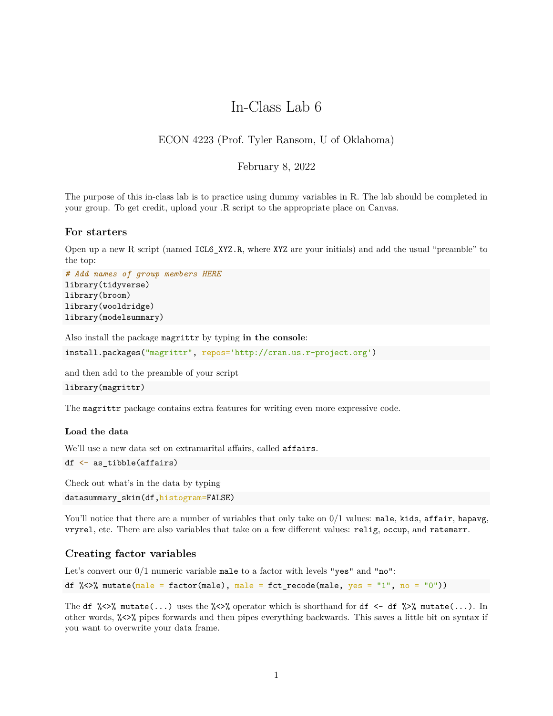# In-Class Lab 6

## ECON 4223 (Prof. Tyler Ransom, U of Oklahoma)

### February 8, 2022

The purpose of this in-class lab is to practice using dummy variables in R. The lab should be completed in your group. To get credit, upload your .R script to the appropriate place on Canvas.

#### **For starters**

Open up a new R script (named ICL6\_XYZ.R, where XYZ are your initials) and add the usual "preamble" to the top:

```
# Add names of group members HERE
library(tidyverse)
library(broom)
library(wooldridge)
library(modelsummary)
```
Also install the package magrittr by typing **in the console**:

```
install.packages("magrittr", repos='http://cran.us.r-project.org')
```
and then add to the preamble of your script

```
library(magrittr)
```
The magrittr package contains extra features for writing even more expressive code.

#### **Load the data**

We'll use a new data set on extramarital affairs, called affairs.

```
df <- as_tibble(affairs)
```
Check out what's in the data by typing

datasummary\_skim(df,histogram=FALSE)

You'll notice that there are a number of variables that only take on  $0/1$  values: male, kids, affair, hapavg, vryrel, etc. There are also variables that take on a few different values: relig, occup, and ratemarr.

#### **Creating factor variables**

Let's convert our 0/1 numeric variable male to a factor with levels "yes" and "no":

df %<>% mutate(male = factor(male), male = fct\_recode(male, yes = "1", no = "0"))

The df  $\frac{1}{2}$   $\frac{1}{2}$  mutate(...) uses the  $\frac{1}{2}$  operator which is shorthand for df  $\leq$  -df  $\frac{1}{2}$ ,  $\frac{1}{2}$  mutate(...). In other words, %<>% pipes forwards and then pipes everything backwards. This saves a little bit on syntax if you want to overwrite your data frame.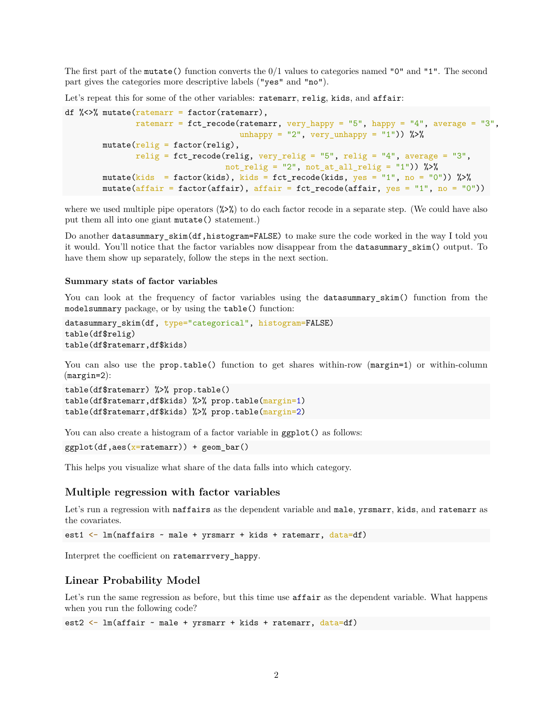The first part of the mutate() function converts the 0/1 values to categories named "0" and "1". The second part gives the categories more descriptive labels ("yes" and "no").

Let's repeat this for some of the other variables: ratemarr, relig, kids, and affair:

```
df \frac{1}{2} <>% mutate(ratemarr = factor(ratemarr),
               ratemarr = fct_recode(ratemarr, very_happy = "5", happy = "4", average = "3",
                                       unhappy = "2", very_unhappy = "1")) %>%
        mutate(<b>relig</b> = factor(<b>relig</b>),relig = fct\_recode(reelig, very\_relig = "5", relay = "4", average = "3",not\_relig = "2", not\_at\_all\_relig = "1") %>%
        mutate(kids = factor(kids), kids = fct_recode(kids, yes = "1", no = "0")) %>%
        mutate(affair = factor(affair), affair = fct_recode(affair, yes = "1", no = "0"))
```
where we used multiple pipe operators  $(\frac{1}{2}, \frac{1}{2})$  to do each factor recode in a separate step. (We could have also put them all into one giant mutate() statement.)

Do another datasummary\_skim(df,histogram=FALSE) to make sure the code worked in the way I told you it would. You'll notice that the factor variables now disappear from the datasummary\_skim() output. To have them show up separately, follow the steps in the next section.

#### **Summary stats of factor variables**

You can look at the frequency of factor variables using the datasum ary skim() function from the modelsummary package, or by using the table() function:

```
datasummary_skim(df, type="categorical", histogram=FALSE)
table(df$relig)
table(df$ratemarr,df$kids)
```
You can also use the **prop.table**() function to get shares within-row (margin=1) or within-column (margin=2):

```
table(df$ratemarr) %>% prop.table()
table(df$ratemarr,df$kids) %>% prop.table(margin=1)
table(df$ratemarr,df$kids) %>% prop.table(margin=2)
```
You can also create a histogram of a factor variable in  $ggplot()$  as follows:

 $ggplot(df,aes(x=ratemarr)) + geom-bar()$ 

This helps you visualize what share of the data falls into which category.

#### **Multiple regression with factor variables**

Let's run a regression with naffairs as the dependent variable and male, yrsmarr, kids, and ratemarr as the covariates.

est1 <- lm(naffairs ~ male + yrsmarr + kids + ratemarr, data=df)

Interpret the coefficient on ratemarrvery\_happy.

#### **Linear Probability Model**

Let's run the same regression as before, but this time use **affair** as the dependent variable. What happens when you run the following code?

est2 <- lm(affair ~ male + yrsmarr + kids + ratemarr, data=df)